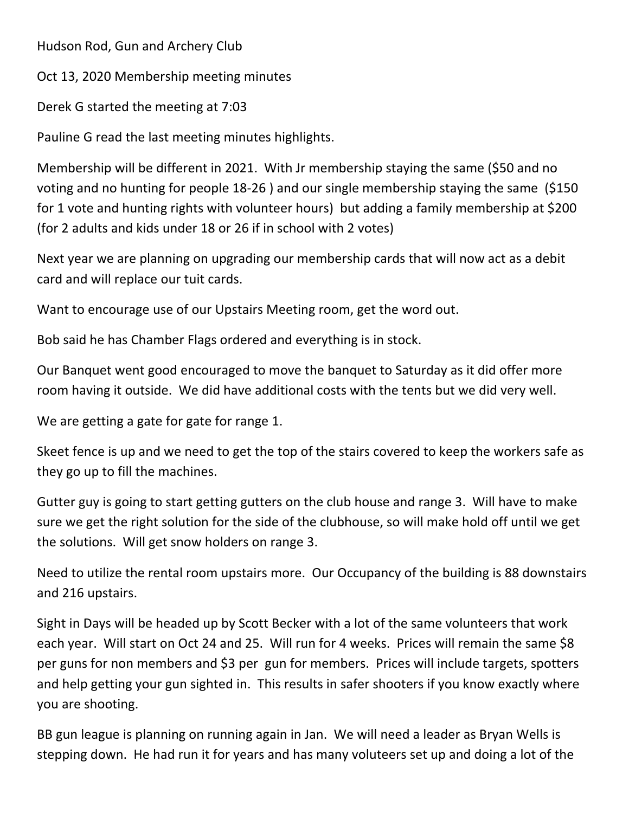Hudson Rod, Gun and Archery Club

Oct 13, 2020 Membership meeting minutes

Derek G started the meeting at 7:03

Pauline G read the last meeting minutes highlights.

Membership will be different in 2021. With Jr membership staying the same (\$50 and no voting and no hunting for people 18‐26 ) and our single membership staying the same (\$150 for 1 vote and hunting rights with volunteer hours) but adding a family membership at \$200 (for 2 adults and kids under 18 or 26 if in school with 2 votes)

Next year we are planning on upgrading our membership cards that will now act as a debit card and will replace our tuit cards.

Want to encourage use of our Upstairs Meeting room, get the word out.

Bob said he has Chamber Flags ordered and everything is in stock.

Our Banquet went good encouraged to move the banquet to Saturday as it did offer more room having it outside. We did have additional costs with the tents but we did very well.

We are getting a gate for gate for range 1.

Skeet fence is up and we need to get the top of the stairs covered to keep the workers safe as they go up to fill the machines.

Gutter guy is going to start getting gutters on the club house and range 3. Will have to make sure we get the right solution for the side of the clubhouse, so will make hold off until we get the solutions. Will get snow holders on range 3.

Need to utilize the rental room upstairs more. Our Occupancy of the building is 88 downstairs and 216 upstairs.

Sight in Days will be headed up by Scott Becker with a lot of the same volunteers that work each year. Will start on Oct 24 and 25. Will run for 4 weeks. Prices will remain the same \$8 per guns for non members and \$3 per gun for members. Prices will include targets, spotters and help getting your gun sighted in. This results in safer shooters if you know exactly where you are shooting.

BB gun league is planning on running again in Jan. We will need a leader as Bryan Wells is stepping down. He had run it for years and has many voluteers set up and doing a lot of the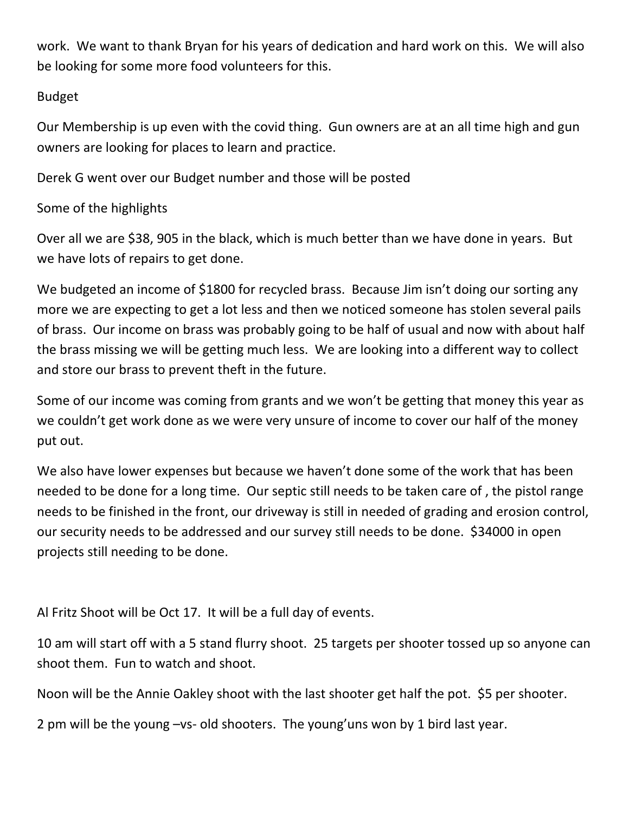work. We want to thank Bryan for his years of dedication and hard work on this. We will also be looking for some more food volunteers for this.

## Budget

Our Membership is up even with the covid thing. Gun owners are at an all time high and gun owners are looking for places to learn and practice.

Derek G went over our Budget number and those will be posted

## Some of the highlights

Over all we are \$38, 905 in the black, which is much better than we have done in years. But we have lots of repairs to get done.

We budgeted an income of \$1800 for recycled brass. Because Jim isn't doing our sorting any more we are expecting to get a lot less and then we noticed someone has stolen several pails of brass. Our income on brass was probably going to be half of usual and now with about half the brass missing we will be getting much less. We are looking into a different way to collect and store our brass to prevent theft in the future.

Some of our income was coming from grants and we won't be getting that money this year as we couldn't get work done as we were very unsure of income to cover our half of the money put out.

We also have lower expenses but because we haven't done some of the work that has been needed to be done for a long time. Our septic still needs to be taken care of , the pistol range needs to be finished in the front, our driveway is still in needed of grading and erosion control, our security needs to be addressed and our survey still needs to be done. \$34000 in open projects still needing to be done.

Al Fritz Shoot will be Oct 17. It will be a full day of events.

10 am will start off with a 5 stand flurry shoot. 25 targets per shooter tossed up so anyone can shoot them. Fun to watch and shoot.

Noon will be the Annie Oakley shoot with the last shooter get half the pot. \$5 per shooter.

2 pm will be the young –vs‐ old shooters. The young'uns won by 1 bird last year.